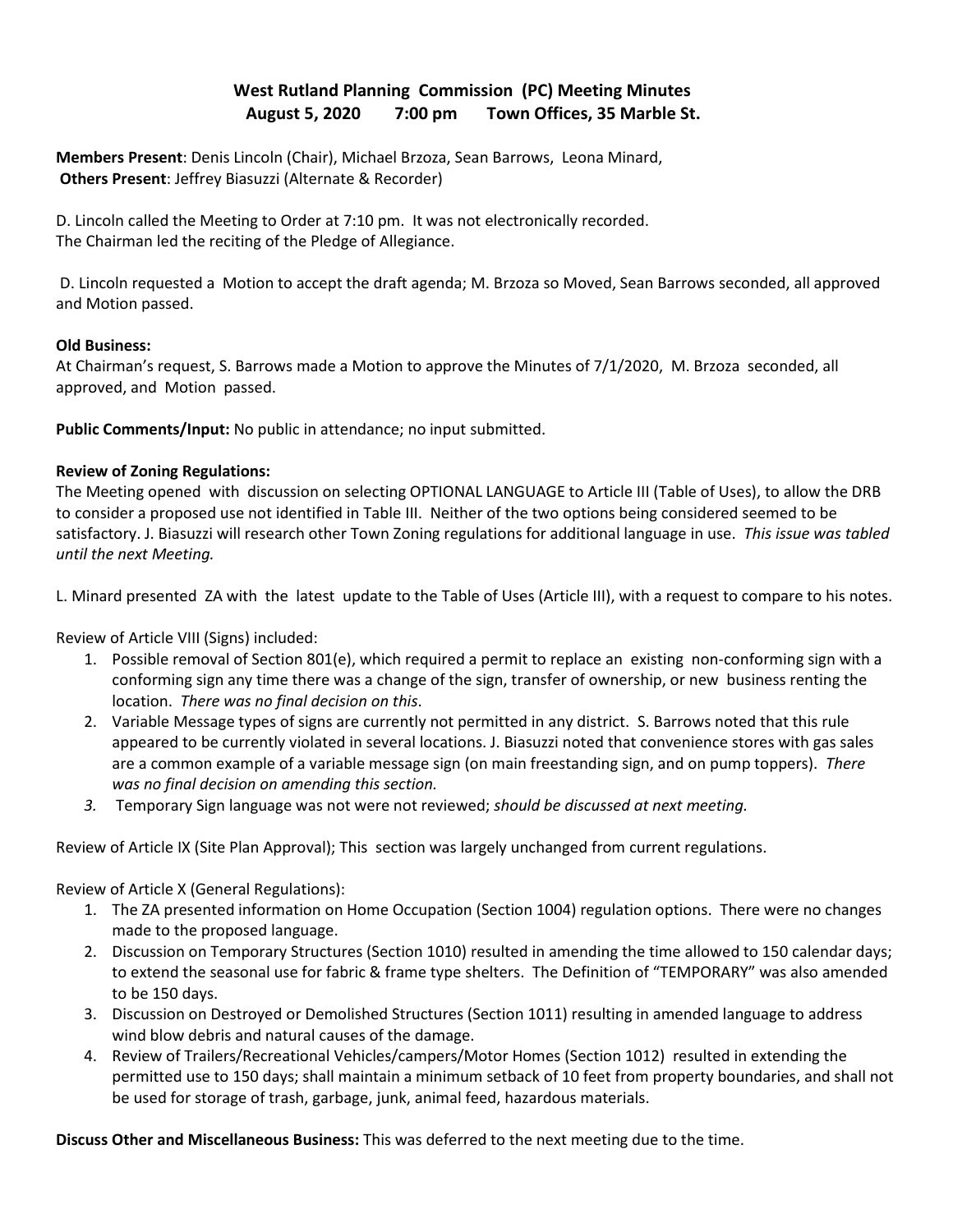# **West Rutland Planning Commission (PC) Meeting Minutes August 5, 2020 7:00 pm Town Offices, 35 Marble St.**

**Members Present**: Denis Lincoln (Chair), Michael Brzoza, Sean Barrows, Leona Minard, **Others Present**: Jeffrey Biasuzzi (Alternate & Recorder)

D. Lincoln called the Meeting to Order at 7:10 pm. It was not electronically recorded. The Chairman led the reciting of the Pledge of Allegiance.

 D. Lincoln requested a Motion to accept the draft agenda; M. Brzoza so Moved, Sean Barrows seconded, all approved and Motion passed.

### **Old Business:**

At Chairman's request, S. Barrows made a Motion to approve the Minutes of 7/1/2020, M. Brzoza seconded, all approved, and Motion passed.

**Public Comments/Input:** No public in attendance; no input submitted.

### **Review of Zoning Regulations:**

The Meeting opened with discussion on selecting OPTIONAL LANGUAGE to Article III (Table of Uses), to allow the DRB to consider a proposed use not identified in Table III. Neither of the two options being considered seemed to be satisfactory. J. Biasuzzi will research other Town Zoning regulations for additional language in use. *This issue was tabled until the next Meeting.* 

L. Minard presented ZA with the latest update to the Table of Uses (Article III), with a request to compare to his notes.

Review of Article VIII (Signs) included:

- 1. Possible removal of Section 801(e), which required a permit to replace an existing non-conforming sign with a conforming sign any time there was a change of the sign, transfer of ownership, or new business renting the location. *There was no final decision on this*.
- 2. Variable Message types of signs are currently not permitted in any district. S. Barrows noted that this rule appeared to be currently violated in several locations. J. Biasuzzi noted that convenience stores with gas sales are a common example of a variable message sign (on main freestanding sign, and on pump toppers). *There was no final decision on amending this section.*
- *3.* Temporary Sign language was not were not reviewed; *should be discussed at next meeting.*

Review of Article IX (Site Plan Approval); This section was largely unchanged from current regulations.

## Review of Article X (General Regulations):

- 1. The ZA presented information on Home Occupation (Section 1004) regulation options. There were no changes made to the proposed language.
- 2. Discussion on Temporary Structures (Section 1010) resulted in amending the time allowed to 150 calendar days; to extend the seasonal use for fabric & frame type shelters. The Definition of "TEMPORARY" was also amended to be 150 days.
- 3. Discussion on Destroyed or Demolished Structures (Section 1011) resulting in amended language to address wind blow debris and natural causes of the damage.
- 4. Review of Trailers/Recreational Vehicles/campers/Motor Homes (Section 1012) resulted in extending the permitted use to 150 days; shall maintain a minimum setback of 10 feet from property boundaries, and shall not be used for storage of trash, garbage, junk, animal feed, hazardous materials.

**Discuss Other and Miscellaneous Business:** This was deferred to the next meeting due to the time.